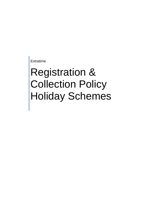Extratime

# Registration & Collection Policy Holiday Schemes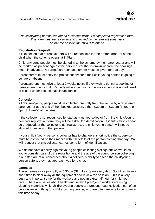

*No child/young person can attend a scheme without a completed registration form. This form must be reviewed and checked by the relevant supervisor before the session the child is to attend.*

## **Registration/Drop-off**

It is expected that parents/carers will be responsible for the prompt drop-off of their child when the scheme opens at 8.45am.

Children/young people must be signed in to the scheme by their parent/carer and will be marked as present against the daily register that is drawn-up from the bookings made in advance. A parent/carer contact number must be given for that day.

Parent/carers must notify the project supervisor if their child/young person is going to be late or absent.

Parents/carers must give at least 2 weeks notice if they wish to cancel a booking or make amendments to it. Refunds will not be given if this notice period is not adhered to except under exceptional circumstances.

### **Collection**

All children/young people must be collected promptly from the venue by a registered parent/carer at the end of their booked session, either 3.30pm or 5.30pm (3.30pm or 6pm St Luke's) at the latest.

If the collector is not recognised by staff as a named collector from the child's/young person's registration form, they will be asked for identification. If identification cannot be produced, or the collector is not registered, the child/young person will not be allowed to leave with that person.

If your child's/young person's collector has to change at short notice the supervisor must be contacted on their mobile with full details of the person coming that day. We will request that this collector carries some form of identification.

We do not have a policy against young people collecting siblings but we would ask you to consider carefully the route home and the age of the young person collecting. If our staff are at all concerned about a collector's ability to escort the child/young person safely, they may approach you for a chat.

### **Lateness**

The schemes close promptly at 5.30pm (St Luke's 6pm) every day. Staff then have a short time to clear away all the equipment and review the session. This is a very busy and important time for the workers and not an extra half hour for child/youth care. There are issues about health and safety if play/youth workers are using cleaning materials while children/young people are present. Late collection can often be a distressing thing for children/young people, who are often anxious to be home at this time of day.